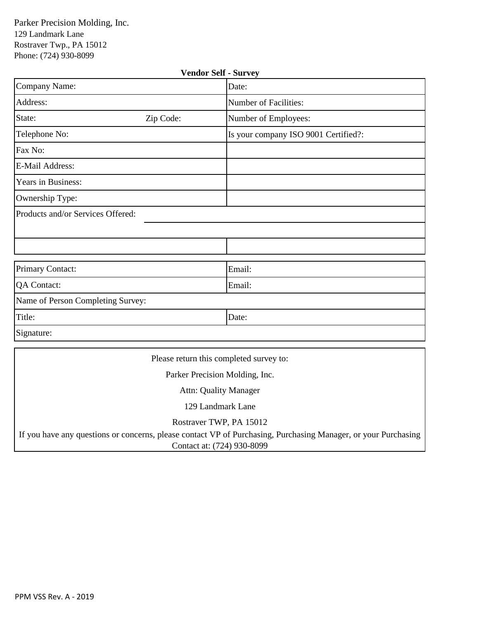| <b>Vendor Self - Survey</b>       |                                                                                                                                                 |                                      |  |  |  |
|-----------------------------------|-------------------------------------------------------------------------------------------------------------------------------------------------|--------------------------------------|--|--|--|
| Company Name:                     |                                                                                                                                                 | Date:                                |  |  |  |
| Address:                          |                                                                                                                                                 | Number of Facilities:                |  |  |  |
| State:                            | Zip Code:                                                                                                                                       | Number of Employees:                 |  |  |  |
| Telephone No:                     |                                                                                                                                                 | Is your company ISO 9001 Certified?: |  |  |  |
| Fax No:                           |                                                                                                                                                 |                                      |  |  |  |
| E-Mail Address:                   |                                                                                                                                                 |                                      |  |  |  |
| Years in Business:                |                                                                                                                                                 |                                      |  |  |  |
| Ownership Type:                   |                                                                                                                                                 |                                      |  |  |  |
| Products and/or Services Offered: |                                                                                                                                                 |                                      |  |  |  |
|                                   |                                                                                                                                                 |                                      |  |  |  |
|                                   |                                                                                                                                                 |                                      |  |  |  |
| Primary Contact:                  |                                                                                                                                                 | Email:                               |  |  |  |
| <b>QA Contact:</b>                |                                                                                                                                                 | Email:                               |  |  |  |
| Name of Person Completing Survey: |                                                                                                                                                 |                                      |  |  |  |
| Title:                            |                                                                                                                                                 | Date:                                |  |  |  |
| Signature:                        |                                                                                                                                                 |                                      |  |  |  |
|                                   | $\mathbf{D1}$ $\mathbf{I}$ $\mathbf{I}$ $\mathbf{I}$ $\mathbf{I}$ $\mathbf{I}$ $\mathbf{I}$ $\mathbf{I}$ $\mathbf{I}$ $\mathbf{I}$ $\mathbf{I}$ |                                      |  |  |  |

Please return this completed survey to:

Parker Precision Molding, Inc.

Attn: Quality Manager

129 Landmark Lane

Rostraver TWP, PA 15012

If you have any questions or concerns, please contact VP of Purchasing, Purchasing Manager, or your Purchasing Contact at: (724) 930-8099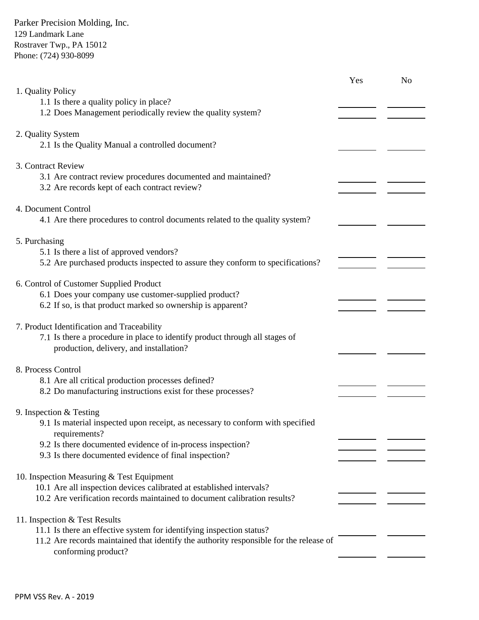|                                                                                                                            | Yes | No |
|----------------------------------------------------------------------------------------------------------------------------|-----|----|
| 1. Quality Policy<br>1.1 Is there a quality policy in place?                                                               |     |    |
| 1.2 Does Management periodically review the quality system?                                                                |     |    |
| 2. Quality System                                                                                                          |     |    |
| 2.1 Is the Quality Manual a controlled document?                                                                           |     |    |
| 3. Contract Review                                                                                                         |     |    |
| 3.1 Are contract review procedures documented and maintained?<br>3.2 Are records kept of each contract review?             |     |    |
|                                                                                                                            |     |    |
| 4. Document Control<br>4.1 Are there procedures to control documents related to the quality system?                        |     |    |
|                                                                                                                            |     |    |
| 5. Purchasing                                                                                                              |     |    |
| 5.1 Is there a list of approved vendors?<br>5.2 Are purchased products inspected to assure they conform to specifications? |     |    |
|                                                                                                                            |     |    |
| 6. Control of Customer Supplied Product<br>6.1 Does your company use customer-supplied product?                            |     |    |
| 6.2 If so, is that product marked so ownership is apparent?                                                                |     |    |
| 7. Product Identification and Traceability                                                                                 |     |    |
| 7.1 Is there a procedure in place to identify product through all stages of                                                |     |    |
| production, delivery, and installation?                                                                                    |     |    |
| 8. Process Control                                                                                                         |     |    |
| 8.1 Are all critical production processes defined?<br>8.2 Do manufacturing instructions exist for these processes?         |     |    |
|                                                                                                                            |     |    |
| 9. Inspection $&$ Testing<br>9.1 Is material inspected upon receipt, as necessary to conform with specified                |     |    |
| requirements?                                                                                                              |     |    |
| 9.2 Is there documented evidence of in-process inspection?<br>9.3 Is there documented evidence of final inspection?        |     |    |
|                                                                                                                            |     |    |
| 10. Inspection Measuring & Test Equipment<br>10.1 Are all inspection devices calibrated at established intervals?          |     |    |
| 10.2 Are verification records maintained to document calibration results?                                                  |     |    |
| 11. Inspection & Test Results                                                                                              |     |    |
| 11.1 Is there an effective system for identifying inspection status?                                                       |     |    |
| 11.2 Are records maintained that identify the authority responsible for the release of<br>conforming product?              |     |    |
|                                                                                                                            |     |    |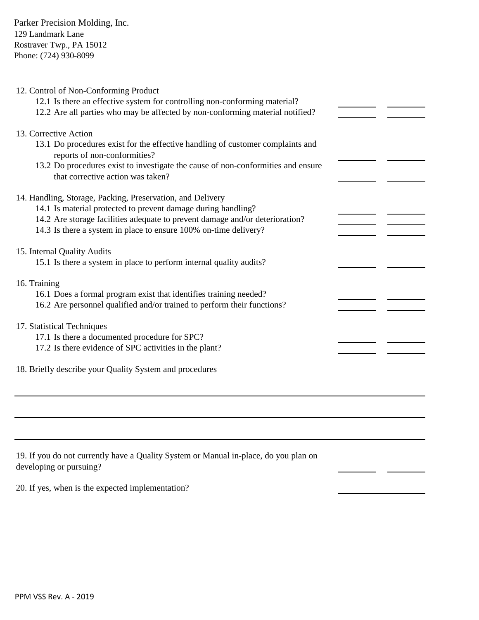| 12. Control of Non-Conforming Product<br>12.1 Is there an effective system for controlling non-conforming material?<br>12.2 Are all parties who may be affected by non-conforming material notified?                        |  |
|-----------------------------------------------------------------------------------------------------------------------------------------------------------------------------------------------------------------------------|--|
| 13. Corrective Action<br>13.1 Do procedures exist for the effective handling of customer complaints and<br>reports of non-conformities?<br>13.2 Do procedures exist to investigate the cause of non-conformities and ensure |  |
| that corrective action was taken?<br>14. Handling, Storage, Packing, Preservation, and Delivery                                                                                                                             |  |
| 14.1 Is material protected to prevent damage during handling?<br>14.2 Are storage facilities adequate to prevent damage and/or deterioration?                                                                               |  |
| 14.3 Is there a system in place to ensure 100% on-time delivery?                                                                                                                                                            |  |
| 15. Internal Quality Audits<br>15.1 Is there a system in place to perform internal quality audits?                                                                                                                          |  |
| 16. Training                                                                                                                                                                                                                |  |
| 16.1 Does a formal program exist that identifies training needed?<br>16.2 Are personnel qualified and/or trained to perform their functions?                                                                                |  |
| 17. Statistical Techniques<br>17.1 Is there a documented procedure for SPC?                                                                                                                                                 |  |
| 17.2 Is there evidence of SPC activities in the plant?                                                                                                                                                                      |  |
| 18. Briefly describe your Quality System and procedures                                                                                                                                                                     |  |
|                                                                                                                                                                                                                             |  |

 $\overline{\phantom{a}}$   $\overline{\phantom{a}}$ 

| 19. If you do not currently have a Quality System or Manual in-place, do you plan on |  |
|--------------------------------------------------------------------------------------|--|
| developing or pursuing?                                                              |  |

20. If yes, when is the expected implementation?